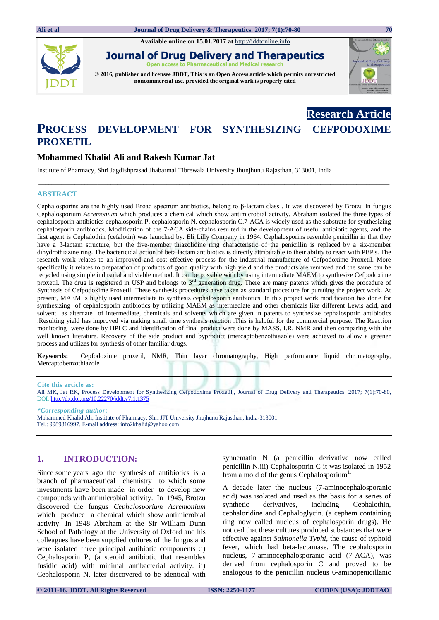**Available online on 15.01.2017 at** [http://jddtonline.info](http://jddtonline.info/)



**Journal of Drug Delivery and Therapeutics Open access to Pharmaceutical and Medical research**

**© 2016, publisher and licensee JDDT, This is an Open Access article which permits unrestricted noncommercial use, provided the original work is properly cited**



**Research Article**

# **PROCESS DEVELOPMENT FOR SYNTHESIZING CEFPODOXIME PROXETIL**

# **Mohammed Khalid Ali and Rakesh Kumar Jat**

Institute of Pharmacy, Shri Jagdishprasad Jhabarmal Tibrewala University Jhunjhunu Rajasthan, 313001, India

### **ABSTRACT**

Cephalosporins are the highly used Broad spectrum antibiotics, belong to β-lactam class . It was discovered by Brotzu in fungus Cephalosporium *Acremonium* which produces a chemical which show antimicrobial activity. Abraham isolated the three types of cephalosporin antibiotics cephalosporin P, cephalosporin N, cephalosporin C.7-ACA is widely used as the substrate for synthesizing cephalosporin antibiotics. Modification of the 7-ACA side-chains resulted in the development of useful antibiotic agents, and the first agent is Cephalothin (cefalotin) was launched by. Eli Lilly Company in 1964. Cephalosporins resemble penicillin in that they have a β-lactam structure, but the five-member thiazolidine ring characteristic of the penicillin is replaced by a six-member dihydrothiazine ring. The bactericidal action of beta lactam antibiotics is directly attributable to their ability to react with PBP's. The research work relates to an improved and cost effective process for the industrial manufacture of Cefpodoxime Proxetil. More specifically it relates to preparation of products of good quality with high yield and the products are removed and the same can be recycled using simple industrial and viable method. It can be possible with by using intermediate MAEM to synthesize Cefpodoxime proxetil. The drug is registered in USP and belongs to 3<sup>rd</sup> generation drug. There are many patents which gives the procedure of Synthesis of Cefpodoxime Proxetil. These synthesis procedures have taken as standard procedure for pursuing the project work. At present, MAEM is highly used intermediate to synthesis cephalosporin antibiotics. In this project work modification has done for synthesizing of cephalosporin antibiotics by utilizing MAEM as intermediate and other chemicals like different Lewis acid, and solvent as alternate of intermediate, chemicals and solvents which are given in patents to synthesize cephalosporin antibiotics .Resulting yield has improved via making small time synthesis reaction .This is helpful for the commercial purpose. The Reaction monitoring were done by HPLC and identification of final product were done by MASS, I.R, NMR and then comparing with the well known literature. Recovery of the side product and byproduct (mercaptobenzothiazole) were achieved to allow a greener process and utilizes for synthesis of other familiar drugs.

**\_\_\_\_\_\_\_\_\_\_\_\_\_\_\_\_\_\_\_\_\_\_\_\_\_\_\_\_\_\_\_\_\_\_\_\_\_\_\_\_\_\_\_\_\_\_\_\_\_\_\_\_\_\_\_\_\_\_\_\_\_\_\_\_\_\_\_\_\_\_\_\_\_\_\_\_\_\_\_\_\_\_\_\_\_\_\_\_\_\_\_\_\_\_\_\_\_\_\_\_\_\_\_\_\_\_\_**

**Keywords:** Cepfodoxime proxetil, NMR, Thin layer chromatography, High performance liquid chromatography, Mercaptobenzothiazole

#### **Cite this article as:**

Ali MK, Jat RK, Process Development for Synthesizing Cefpodoxime Proxetil,, Journal of Drug Delivery and Therapeutics. 2017; 7(1):70-80, DOI: <http://dx.doi.org/10.22270/jddt.v7i1.1375>

*\*Corresponding author:*  Mohammed Khalid Ali, Institute of Pharmacy, Shri JJT University Jhujhunu Rajasthan, India-313001 Tel.: 9989816997, E-mail address[: info2khalid@yahoo.com](mailto:info2khalid@yahoo.com) 

### **1. INTRODUCTION:**

Since some years ago the synthesis of antibiotics is a branch of pharmaceutical chemistry to which some investments have been made in order to develop new compounds with antimicrobial activity. In 1945, Brotzu discovered the fungus *Cephalosporium Acremonium* which produce a chemical which show antimicrobial activity. In 1948 Abraham at the Sir William Dunn School of Pathology at the [University of Oxford](http://en.wikipedia.org/wiki/University_of_Oxford) and his colleagues have been supplied cultures of the fungus and were isolated three principal antibiotic components :i) Cephalosporin P, (a steroid antibiotic that resembles fusidic acid) with minimal antibacterial activity. ii) Cephalosporin N, later discovered to be identical with synnematin N (a penicillin derivative now called penicillin N.iii) Cephalosporin C it was isolated in 1952 from a mold of the genus Cephalosporium<sup>1.</sup>

A decade later the nucleus (7-aminocephalosporanic acid) was isolated and used as the basis for a series of synthetic derivatives, including Cephalothin, cephaloridine and Cephaloglycin. (a cephem containing ring now called nucleus of cephalosporin drugs). He noticed that these cultures produced substances that were effective against *Salmonella Typhi*, the cause of typhoid fever, which had beta-lactamase. The cephalosporin nucleus, 7-aminocephalosporanic acid (7-ACA), was derived from cephalosporin C and proved to be analogous to the penicillin nucleus 6-aminopenicillanic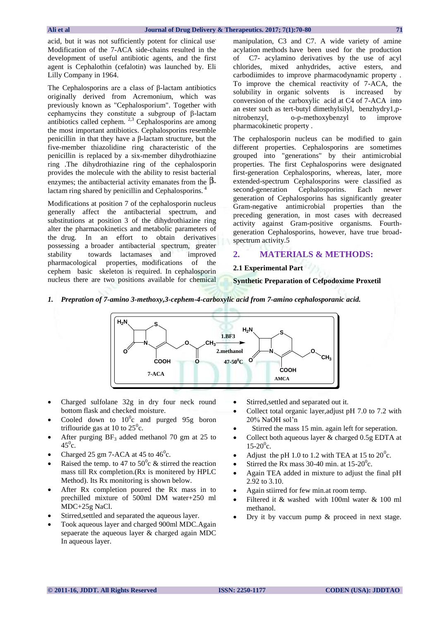acid, but it was not sufficiently potent for clinical use Modification of the 7-ACA side-chains resulted in the development of useful antibiotic agents, and the first agent is Cephalothin (cefalotin) was launched by. Eli Lilly Company in 1964.

The Cephalosporins are a class of β-lactam antibiotics originally derived from Acremonium, which was previously known as "Cephalosporium". Together with cephamycins they constitute a subgroup of β-lactam antibiotics called cephem.  $2,3$  Cephalosporins are among the most important antibiotics. Cephalosporins resemble penicillin in that they have a β-lactam structure, but the five-member thiazolidine ring characteristic of the penicillin is replaced by a six-member dihydrothiazine ring .The dihydrothiazine ring of the cephalosporin provides the molecule with the ability to resist bacterial enzymes; the antibacterial activity emanates from the  $\beta$ lactam ring shared by penicillin and Cephalosporins.<sup>4</sup>

Modifications at position 7 of the cephalosporin nucleus generally affect the antibacterial spectrum, and substitutions at position 3 of the dihydrothiazine ring alter the pharmacokinetics and metabolic parameters of the drug. In an effort to obtain derivatives possessing a broader antibacterial spectrum, greater stability towards lactamases and improved pharmacological properties, modifications of the cephem basic skeleton is required. In cephalosporin nucleus there are two positions available for chemical

manipulation, C3 and C7. A wide variety of amine acylation methods have been used for the production of C7- acylamino derivatives by the use of acyl chlorides, mixed anhydrides, active esters, and carbodiimides to improve pharmacodynamic property . To improve the chemical reactivity of 7-ACA, the solubility in organic solvents is increased by conversion of the carboxylic acid at C4 of 7-ACA into an ester such as tert-butyl dimethylsilyl, benzhydry1,pnitrobenzyl, o-p-methoxybenzyl to improve pharmacokinetic property .

The cephalosporin nucleus can be modified to gain different properties. Cephalosporins are sometimes grouped into "generations" by their antimicrobial properties. The first Cephalosporins were designated first-generation Cephalosporins, whereas, later, more extended-spectrum Cephalosporins were classified as second-generation Cephalosporins. Each newer generation of Cephalosporins has significantly greater Gram-negative antimicrobial properties than the preceding generation, in most cases with decreased activity against Gram-positive organisms. Fourthgeneration Cephalosporins, however, have true broadspectrum activity.5

### **2. MATERIALS & METHODS:**

#### **2.1 Experimental Part**

#### **Synthetic Preparation of Cefpodoxime Proxetil**

*1. Prepration of 7-amino 3-methoxy,3-cephem-4-carboxylic acid from 7-amino cephalosporanic acid.*



- Charged sulfolane 32g in dry four neck round bottom flask and checked moisture.
- Cooled down to  $10^{\circ}$ c and purged 95g boron triflouride gas at 10 to  $25^{\circ}$ c.
- After purging  $BF_3$  added methanol 70 gm at 25 to  $45^0c$ .
- Charged 25 gm 7-ACA at 45 to  $46^{\circ}$ c.
- Raised the temp. to 47 to  $50^{\circ}$ c & stirred the reaction mass till Rx completion.(Rx is monitered by HPLC Method). Its Rx monitoring is shown below.
- After Rx completion poured the Rx mass in to prechilled mixture of 500ml DM water+250 ml MDC+25g NaCl.
- Stirred,settled and separated the aqueous layer.
- Took aqueous layer and charged 900ml MDC.Again sepaerate the aqueous layer & charged again MDC In aqueous layer.
- Stirred,settled and separated out it.
- Collect total organic layer,adjust pH 7.0 to 7.2 with 20% NaOH sol'n
- Stirred the mass 15 min. again left for seperation.
- Collect both aqueous layer & charged 0.5g EDTA at  $15 - 20^0$ c.
- Adjust the pH 1.0 to 1.2 with TEA at 15 to  $20^{\circ}$ c.
- Stirred the Rx mass 30-40 min. at  $15{\text -}20^{\circ}$ c.
- Again TEA added in mixture to adjust the final pH 2.92 to 3.10.
- Again stiirred for few min.at room temp.
- Filtered it & washed with 100ml water & 100 ml methanol.
- Dry it by vaccum pump & proceed in next stage.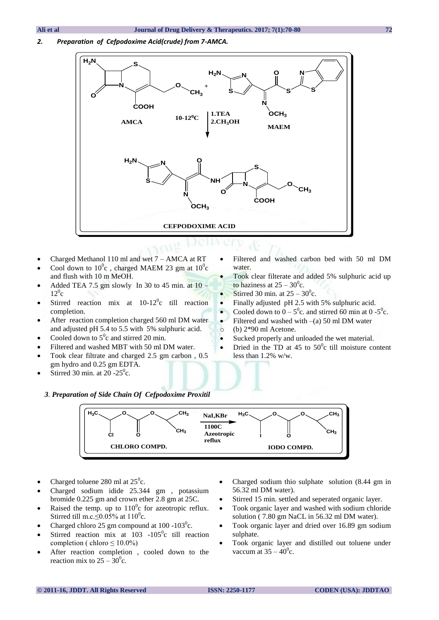*2. Preparation of Cefpodoxime Acid(crude) from 7-AMCA.*



- Charged Methanol 110 ml and wet 7 AMCA at RT
- Cool down to  $10^0$ c, charged MAEM 23 gm at  $10^0$ c and flush with 10 m MeOH.
- Added TEA 7.5 gm slowly In 30 to 45 min. at  $10 12^0$ c
- Stirred reaction mix at  $10-12^{\circ}$ c till reaction completion.
- After reaction completion charged 560 ml DM water and adjusted pH 5.4 to 5.5 with 5% sulphuric acid.
- Cooled down to  $5^0$ c and stirred 20 min.
- Filtered and washed MBT with 50 ml DM water.
- Took clear filtrate and charged 2.5 gm carbon , 0.5 gm hydro and 0.25 gm EDTA.

 *3. Preparation of Side Chain Of Cefpodoxime Proxitil*

• Stirred 30 min. at 20 -25 $\degree$ c.

- Filtered and washed carbon bed with 50 ml DM water.
- Took clear filterate and added 5% sulphuric acid up to haziness at  $25 - 30^0$ c.
- Stirred 30 min. at  $25 30^{\circ}$ c.
- Finally adjusted pH 2.5 with 5% sulphuric acid.
- Cooled down to  $0 5^\circ$ c. and stirred 60 min at 0 - $5^\circ$ c.
- Filtered and washed with  $-(a)$  50 ml DM water o (b) 2\*90 ml Acetone.
- Sucked properly and unloaded the wet material.
- Dried in the TD at 45 to  $50^{\circ}$ c till moisture content less than 1.2% w/w.



- Charged toluene 280 ml at  $25^\circ$ c.
- Charged sodium idide 25.344 gm , potassium bromide 0.225 gm and crown ether 2.8 gm at 25C.
- Raised the temp. up to  $110^{\circ}$ c for azeotropic reflux. Stirred till m.c.  $\leq 0.05\%$  at 110<sup>0</sup>c.
- Charged chloro 25 gm compound at  $100 103^\circ$ c.
- Stirred reaction mix at  $103 105^\circ$ c till reaction completion ( chloro  $\leq 10.0\%$ )
- After reaction completion , cooled down to the reaction mix to  $25 - 30^{\circ}$ c.
- Charged sodium thio sulphate solution (8.44 gm in 56.32 ml DM water).
- Stirred 15 min. settled and seperated organic layer.
- Took organic layer and washed with sodium chloride solution ( 7.80 gm NaCL in 56.32 ml DM water).
- Took organic layer and dried over 16.89 gm sodium sulphate.
- Took organic layer and distilled out toluene under vaccum at  $35 - 40^{\circ}$ c.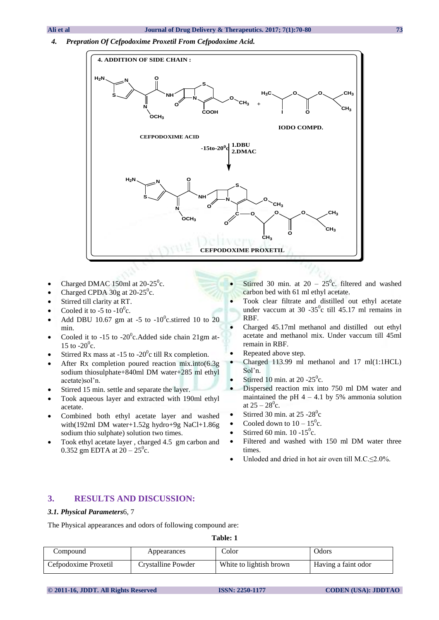*4. Prepration Of Cefpodoxime Proxetil From Cefpodoxime Acid.* 



- Charged DMAC 150ml at  $20-25^\circ$ c.
- Charged CPDA  $30g$  at  $20-25^{\circ}c$ .
- Stirred till clarity at RT.
- Cooled it to -5 to -10<sup>0</sup>c.
- Add DBU 10.67 gm at -5 to  $-10^0$ c.stirred 10 to 20 min.
- Cooled it to -15 to -20 $^{\circ}$ c.Added side chain 21gm at-15 to  $-20^0$ c.
- Stirred Rx mass at -15 to -20 $^{\circ}$ c till Rx completion.
- After Rx completion poured reaction mix.into(6.3g sodium thiosulphate+840ml DM water+285 ml ethyl acetate)sol'n.
- Stirred 15 min. settle and separate the layer.
- Took aqueous layer and extracted with 190ml ethyl acetate.
- Combined both ethyl acetate layer and washed with(192ml DM water+1.52g hydro+9g NaCl+1.86g sodium thio sulphate) solution two times.
- Took ethyl acetate layer , charged 4.5 gm carbon and 0.352 gm EDTA at  $20 - 25^{\circ}$ c.
- Stirred 30 min. at  $20 25^{\circ}$ c. filtered and washed carbon bed with 61 ml ethyl acetate.
- Took clear filtrate and distilled out ethyl acetate under vaccum at  $30 - 35^\circ c$  till  $45.17$  ml remains in RBF.
- Charged 45.17ml methanol and distilled out ethyl acetate and methanol mix. Under vaccum till 45ml remain in RBF.
- Repeated above step.
- Charged 113.99 ml methanol and 17 ml(1:1HCL) Sol'n.
- Stirred 10 min. at 20 -25 $\degree$ c.
- Dispersed reaction mix into 750 ml DM water and maintained the pH  $4 - 4.1$  by 5% ammonia solution at  $25 - 28^{\circ}$ c.
- Stirred 30 min. at  $25 28^\circ$ c
- Cooled down to  $10 15^{\circ}$ c.
- Stirred 60 min.  $10 15^\circ$ c.
- Filtered and washed with 150 ml DM water three times.
- Unloded and dried in hot air oven till M.C. $\leq$ 2.0%.

# **3. RESULTS AND DISCUSSION:**

### *3.1. Physical Parameters*6, 7

The Physical appearances and odors of following compound are:

**Table: 1**

| Compound                                   | Appearances | Color                   | Odors               |
|--------------------------------------------|-------------|-------------------------|---------------------|
| Cefpodoxime Proxetil<br>Crystalline Powder |             | White to lightish brown | Having a faint odor |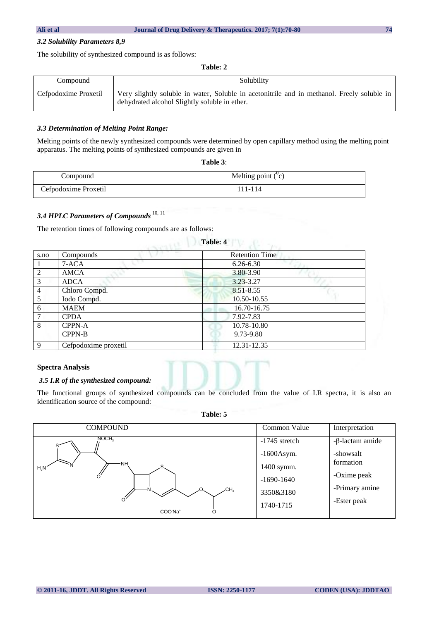### *3.2 Solubility Parameters 8,9*

The solubility of synthesized compound is as follows:

**Table: 2**

| Compound             | Solubility                                                                                                                                  |  |  |
|----------------------|---------------------------------------------------------------------------------------------------------------------------------------------|--|--|
| Cefpodoxime Proxetil | Very slightly soluble in water, Soluble in acetonitrile and in methanol. Freely soluble in<br>dehydrated alcohol Slightly soluble in ether. |  |  |

### *3.3 Determination of Melting Point Range:*

Melting points of the newly synthesized compounds were determined by open capillary method using the melting point apparatus. The melting points of synthesized compounds are given in

| 'able |  |  |
|-------|--|--|
|-------|--|--|

| Compound             | Melting point $(°c)$ |
|----------------------|----------------------|
| Cefpodoxime Proxetil | 111-114              |

# *3.4 HPLC Parameters of Compounds* 10, 11

The retention times of following compounds are as follows:

| s.no           | Compounds            | <b>Retention Time</b> |
|----------------|----------------------|-----------------------|
|                | $7-ACA$              | $6.26 - 6.30$         |
| 2              | <b>AMCA</b>          | 3.80-3.90             |
| 3              | <b>ADCA</b>          | $3.23 - 3.27$         |
| $\overline{4}$ | Chloro Compd.        | 8.51-8.55             |
| -5             | Iodo Compd.          | 10.50-10.55           |
| 6              | <b>MAEM</b>          | 16.70-16.75           |
| 7              | <b>CPDA</b>          | 7.92-7.83             |
| 8              | <b>CPPN-A</b>        | 10.78-10.80           |
|                | <b>CPPN-B</b>        | 9.73-9.80             |
| $\mathbf{Q}$   | Cefpodoxime proxetil | 12.31-12.35           |

# **Table: 4**

### **Spectra Analysis**

### *3.5 I.R of the synthesized compound:*

The functional groups of synthesized compounds can be concluded from the value of I.R spectra, it is also an identification source of the compound:

**Table: 5**

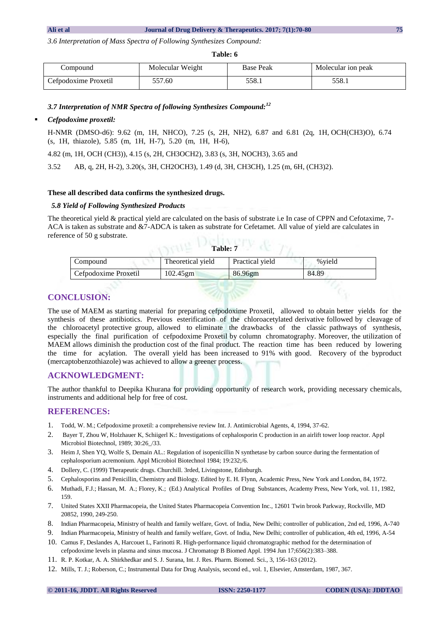*3.6 Interpretation of Mass Spectra of Following Synthesizes Compound:*

#### **Table: 6**

| Compound                      | Molecular Weight | <b>Base Peak</b> | Molecular ion peak |
|-------------------------------|------------------|------------------|--------------------|
| 57.60<br>Cefpodoxime Proxetil |                  | 558.1            | 558.1              |

*3.7 Interpretation of NMR Spectra of following Synthesizes Compound:<sup>12</sup>*

### *Cefpodoxime proxetil:*

H-NMR (DMSO-d6): 9.62 (m, 1H, NHCO), 7.25 (s, 2H, NH2), 6.87 and 6.81 (2q, 1H, OCH(CH3)O), 6.74 (s, 1H, thiazole), 5.85 (m, 1H, H-7), 5.20 (m, 1H, H-6),

4.82 (m, 1H, OCH (CH3)), 4.15 (s, 2H, CH3OCH2), 3.83 (s, 3H, NOCH3), 3.65 and

3.52 AB, q, 2H, H-2), 3.20(s, 3H, CH2OCH3), 1.49 (d, 3H, CH3CH), 1.25 (m, 6H, (CH3)2).

### **These all described data confirms the synthesized drugs.**

### *5.8 Yield of Following Synthesized Products*

The theoretical yield & practical yield are calculated on the basis of substrate i.e In case of CPPN and Cefotaxime, 7- ACA is taken as substrate and &7-ADCA is taken as substrate for Cefetamet. All value of yield are calculates in reference of 50 g substrate.  $T_{\rm re}$  **Departuments** 

| .                    |                   |                 |         |
|----------------------|-------------------|-----------------|---------|
| Compound             | Theoretical yield | Practical vield | % vield |
| Cefpodoxime Proxetil | $102.45$ gm       | 86.96gm         | 84.89   |
|                      |                   |                 |         |

# **CONCLUSION:**

The use of MAEM as starting material for preparing cefpodoxime Proxetil, allowed to obtain better yields for the synthesis of these antibiotics. Previous esterification of the chloroacetylated derivative followed by cleavage of the chloroacetyl protective group, allowed to eliminate the drawbacks of the classic pathways of synthesis, especially the final purification of cefpodoxime Proxetil by column chromatography. Moreover, the utilization of MAEM allows diminish the production cost of the final product. The reaction time has been reduced by lowering the time for acylation. The overall yield has been increased to 91% with good. Recovery of the byproduct (mercaptobenzothiazole) was achieved to allow a greener process.

# **ACKNOWLEDGMENT:**

The author thankful to Deepika Khurana for providing opportunity of research work, providing necessary chemicals, instruments and additional help for free of cost.

# **REFERENCES:**

- 1. Todd, W. M.; Cefpodoxime proxetil: a comprehensive review Int. J. Antimicrobial Agents, 4, 1994, 37-62.
- 2. Bayer T, Zhou W, Holzhauer K, Schiigerl K.: Investigations of cephalosporin C production in an airlift tower loop reactor. Appl Microbiol Biotechnol, 1989; 30:26\_/33.
- 3. Heim J, Shen YQ, Wolfe S, Demain AL.: Regulation of isopenicillin N synthetase by carbon source during the fermentation of cephalosporium acremonium. Appl Microbiol Biotechnol 1984; 19:232;/6.
- 4. Dollery, C. (1999) Therapeutic drugs. Churchill. 3rded, Livingstone, Edinburgh.
- 5. Cephalosporins and Penicillin, Chemistry and Biology. Edited by E. H. Flynn, Academic Press, New York and London, 84, 1972.
- 6. Muthadi, F.J.; Hassan, M. A.; Florey, K.; (Ed.) Analytical Profiles of Drug Substances, Academy Press, New York, vol. 11, 1982, 159.
- 7. United States XXII Pharmacopeia, the United States Pharmacopeia Convention Inc., 12601 Twin brook Parkway, Rockville, MD 20852, 1990, 249-250.
- 8. Indian Pharmacopeia, Ministry of health and family welfare, Govt. of India, New Delhi; controller of publication, 2nd ed, 1996, A-740
- 9. Indian Pharmacopeia, Ministry of health and family welfare, Govt. of India, New Delhi; controller of publication, 4th ed, 1996, A-54
- 10. Camus F, Deslandes A, Harcouet L, Farinotti R. High-performance liquid chromatographic method for the determination of cefpodoxime levels in plasma and sinus mucosa. J Chromatogr B Biomed Appl. 1994 Jun 17;656(2):383–388.
- 11. R. P. Kotkar, A. A. Shirkhedkar and S. J. Surana, Int. J. Res. Pharm. Biomed. Sci., 3, 156-163 (2012).
- 12. Mills, T. J.; Roberson, C.; Instrumental Data for Drug Analysis, second ed., vol. 1, Elsevier, Amsterdam, 1987, 367.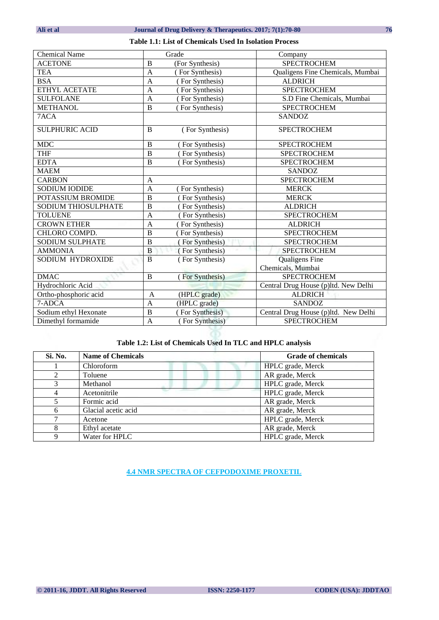## **Table 1.1: List of Chemicals Used In Isolation Process**

| Chemical Name              | Grade                             | Company                              |
|----------------------------|-----------------------------------|--------------------------------------|
| <b>ACETONE</b>             | B<br>(For Synthesis)              | <b>SPECTROCHEM</b>                   |
| <b>TEA</b>                 | (For Synthesis)<br>$\overline{A}$ | Qualigens Fine Chemicals, Mumbai     |
| <b>BSA</b>                 | $\overline{A}$<br>(For Synthesis) | <b>ALDRICH</b>                       |
| ETHYL ACETATE              | $\overline{A}$<br>(For Synthesis) | <b>SPECTROCHEM</b>                   |
| <b>SULFOLANE</b>           | (For Synthesis)<br>$\mathbf{A}$   | S.D Fine Chemicals, Mumbai           |
| <b>METHANOL</b>            | $\overline{B}$<br>For Synthesis)  | <b>SPECTROCHEM</b>                   |
| 7ACA                       |                                   | <b>SANDOZ</b>                        |
| <b>SULPHURIC ACID</b>      | B<br>(For Synthesis)              | <b>SPECTROCHEM</b>                   |
| <b>MDC</b>                 | B<br>(For Synthesis)              | <b>SPECTROCHEM</b>                   |
| <b>THF</b>                 | $\overline{B}$<br>For Synthesis)  | <b>SPECTROCHEM</b>                   |
| <b>EDTA</b>                | B<br>For Synthesis)               | <b>SPECTROCHEM</b>                   |
| <b>MAEM</b>                |                                   | <b>SANDOZ</b>                        |
| <b>CARBON</b>              | A                                 | <b>SPECTROCHEM</b>                   |
| <b>SODIUM IODIDE</b>       | $\overline{A}$<br>(For Synthesis) | <b>MERCK</b>                         |
| POTASSIUM BROMIDE          | $\overline{B}$<br>For Synthesis)  | <b>MERCK</b>                         |
| <b>SODIUM THIOSULPHATE</b> | $\overline{B}$<br>For Synthesis)  | <b>ALDRICH</b>                       |
| <b>TOLUENE</b>             | $\mathbf{A}$<br>(For Synthesis)   | <b>SPECTROCHEM</b>                   |
| <b>CROWN ETHER</b>         | $\overline{A}$<br>(For Synthesis) | <b>ALDRICH</b>                       |
| CHLORO COMPD.              | $\overline{B}$<br>For Synthesis)  | <b>SPECTROCHEM</b>                   |
| <b>SODIUM SULPHATE</b>     | $\overline{B}$<br>For Synthesis)  | <b>SPECTROCHEM</b>                   |
| <b>AMMONIA</b>             | B<br>(For Synthesis)              | <b>SPECTROCHEM</b>                   |
| SODIUM HYDROXIDE           | (For Synthesis)<br>B              | <b>Qualigens Fine</b>                |
|                            |                                   | Chemicals, Mumbai                    |
| <b>DMAC</b>                | B<br>(For Synthesis)              | <b>SPECTROCHEM</b>                   |
| Hydrochloric Acid          |                                   | Central Drug House (p)ltd. New Delhi |
| Ortho-phosphoric acid      | A<br>(HPLC grade)                 | <b>ALDRICH</b>                       |
| 7-ADCA                     | (HPLC grade)<br>$\mathbf{A}$      | <b>SANDOZ</b>                        |
| Sodium ethyl Hexonate      | $\overline{B}$<br>For Synthesis)  | Central Drug House (p)ltd. New Delhi |
| Dimethyl formamide         | $\mathbf{A}$<br>(For Synthesis)   | <b>SPECTROCHEM</b>                   |

# **Table 1.2: List of Chemicals Used In TLC and HPLC analysis**

| Si. No.        | <b>Name of Chemicals</b> | <b>Grade of chemicals</b> |
|----------------|--------------------------|---------------------------|
|                | Chloroform               | HPLC grade, Merck         |
| $\mathfrak{D}$ | Toluene                  | AR grade, Merck           |
| 3              | Methanol                 | HPLC grade, Merck         |
|                | Acetonitrile             | HPLC grade, Merck         |
|                | Formic acid              | AR grade, Merck           |
| 6              | Glacial acetic acid      | AR grade, Merck           |
|                | Acetone                  | HPLC grade, Merck         |
| 8              | Ethyl acetate            | AR grade, Merck           |
| Q              | Water for HPLC           | HPLC grade, Merck         |

**4.4 NMR SPECTRA OF CEFPODOXIME PROXETIL**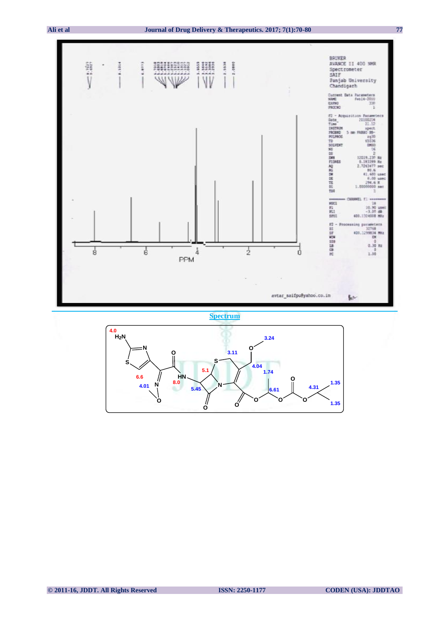

**Spectrum**

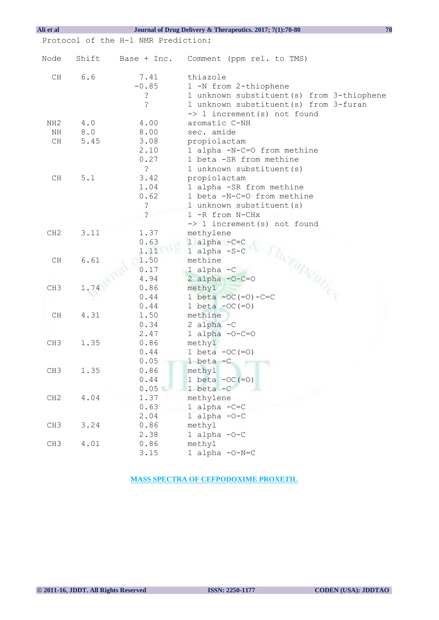| Ali et al                           |       |                | 78<br>Journal of Drug Delivery & Therapeutics. 2017; 7(1):70-80 |
|-------------------------------------|-------|----------------|-----------------------------------------------------------------|
| Protocol of the H-1 NMR Prediction: |       |                |                                                                 |
|                                     |       |                |                                                                 |
| Node                                | Shift | Base + Inc.    | Comment (ppm rel. to TMS)                                       |
| CH                                  | 6.6   | 7.41           | thiazole                                                        |
|                                     |       | $-0.85$        | 1 -N from 2-thiophene                                           |
|                                     |       | د:             | 1 unknown substituent(s) from 3-thiophene                       |
|                                     |       | $\ddot{\cdot}$ | 1 unknown substituent (s) from 3-furan                          |
|                                     |       |                | -> 1 increment(s) not found                                     |
| NH <sub>2</sub>                     | $4.0$ | 4.00           | aromatic C-NH                                                   |
| ΝH                                  | 8.0   | 8.00           | sec. amide                                                      |
| CH                                  | 5.45  | 3.08           | propiolactam                                                    |
|                                     |       | 2.10           | 1 alpha -N-C=O from methine                                     |
|                                     |       | 0.27           | 1 beta -SR from methine                                         |
|                                     |       | $\ddot{\cdot}$ | 1 unknown substituent (s)                                       |
| CH                                  | 5.1   | 3.42           | propiolactam                                                    |
|                                     |       | 1.04           | 1 alpha -SR from methine                                        |
|                                     |       | 0.62           | 1 beta -N-C=O from methine                                      |
|                                     |       | $\dot{\cdot}$  | 1 unknown substituent (s)                                       |
|                                     |       | $\overline{?}$ | 1 -R from N-CHx                                                 |
|                                     |       |                | $\Rightarrow$ 1 increment(s) not found                          |
| CH2                                 | 3.11  | 1.37           | methylene                                                       |
|                                     |       | 0.63           | 1 alpha $-C=C$                                                  |
|                                     |       | 1.11           | 1 alpha -S-C                                                    |
| CH                                  | 6.61  | 1.50           | methine                                                         |
|                                     |       | 0.17           | $1$ alpha $-C$                                                  |
|                                     |       | 4.94           | 2 alpha $-0-C=0$                                                |
| CH <sub>3</sub>                     | 1.74  | 0.86           | erapemics<br>methyl                                             |
|                                     |       | 0.44           | 1 beta $-OC (=O) - C=C$                                         |
|                                     |       | 0.44           | 1 beta $-OC (=O)$                                               |
| CH                                  | 4.31  | 1.50           | methine                                                         |
|                                     |       | 0.34           | 2 alpha $-C$                                                    |
|                                     | 1.35  | 2.47<br>0.86   | 1 alpha $-O-C=O$<br>methyl                                      |
| CH <sub>3</sub>                     |       | 0.44           | 1 beta $-OC (=O)$                                               |
|                                     |       | 0.05           | 1 beta $-C$                                                     |
| CH3                                 | 1.35  | 0.86           | methyl                                                          |
|                                     |       | 0.44           | 1 beta $-OC (=O)$                                               |
|                                     |       | 0.05           | $1 \text{ beta } -C$                                            |
| CH2                                 | 4.04  | 1.37           | methylene                                                       |
|                                     |       | 0.63           | 1 alpha $-C=C$                                                  |
|                                     |       | 2.04           | 1 alpha $-O-C$                                                  |
| CH <sub>3</sub>                     | 3.24  | 0.86           | methyl                                                          |
|                                     |       | 2.38           | 1 alpha $-0-C$                                                  |
| CH <sub>3</sub>                     | 4.01  | 0.86           | methyl                                                          |
|                                     |       | 3.15           | 1 alpha -0-N=C                                                  |

**MASS SPECTRA OF CEFPODOXIME PROXETIL**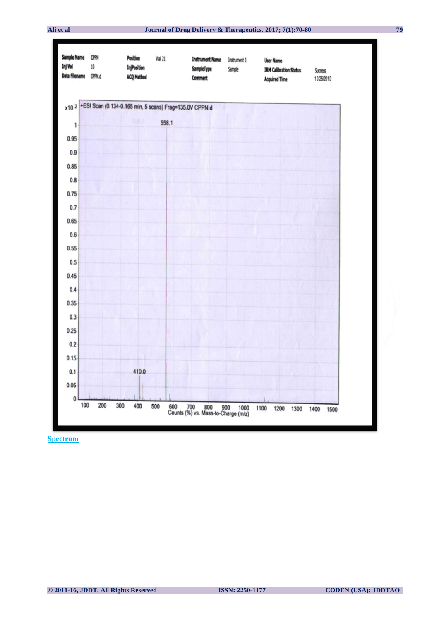

**Spectrum**